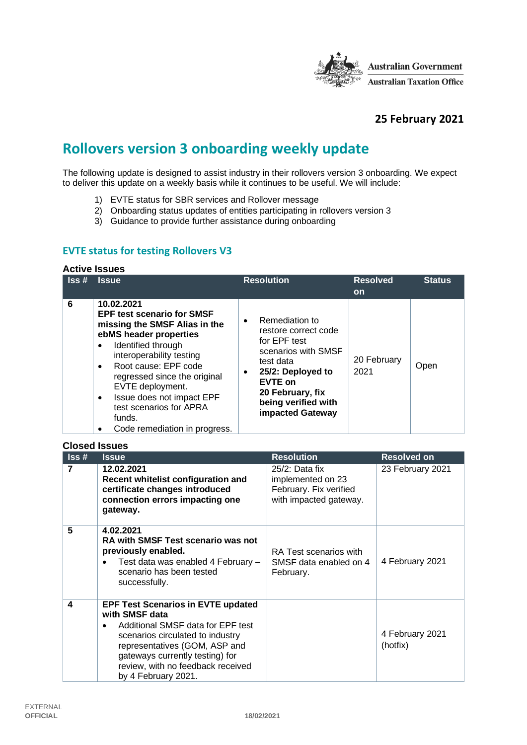

## **25 February 2021**

# **Rollovers version 3 onboarding weekly update**

The following update is designed to assist industry in their rollovers version 3 onboarding. We expect to deliver this update on a weekly basis while it continues to be useful. We will include:

- 1) EVTE status for SBR services and Rollover message
- 2) Onboarding status updates of entities participating in rollovers version 3
- 3) Guidance to provide further assistance during onboarding

#### **EVTE status for testing Rollovers V3**

#### **Active Issues**

| $\textsf{lss}\,\texttt{\#}$ | <b>Issue</b>                                                                                                                                                                                                                                                                                                                                                          | <b>Resolution</b>                                                                                                                                                                                             | <b>Resolved</b><br><b>on</b> | <b>Status</b> |
|-----------------------------|-----------------------------------------------------------------------------------------------------------------------------------------------------------------------------------------------------------------------------------------------------------------------------------------------------------------------------------------------------------------------|---------------------------------------------------------------------------------------------------------------------------------------------------------------------------------------------------------------|------------------------------|---------------|
| 6                           | 10.02.2021<br><b>EPF test scenario for SMSF</b><br>missing the SMSF Alias in the<br>ebMS header properties<br>Identified through<br>interoperability testing<br>Root cause: EPF code<br>$\bullet$<br>regressed since the original<br>EVTE deployment.<br>Issue does not impact EPF<br>$\bullet$<br>test scenarios for APRA<br>funds.<br>Code remediation in progress. | Remediation to<br>$\bullet$<br>restore correct code<br>for EPF test<br>scenarios with SMSF<br>test data<br>25/2: Deployed to<br><b>EVTE on</b><br>20 February, fix<br>being verified with<br>impacted Gateway | 20 February<br>2021          | Open          |

#### **Closed Issues**

| $\textsf{lss}\,\texttt{\#}$ | <b>Issue</b>                                                                                                                                                                                                                                                                      | <b>Resolution</b>                                                                          | <b>Resolved on</b>          |
|-----------------------------|-----------------------------------------------------------------------------------------------------------------------------------------------------------------------------------------------------------------------------------------------------------------------------------|--------------------------------------------------------------------------------------------|-----------------------------|
| 7                           | 12.02.2021<br>Recent whitelist configuration and<br>certificate changes introduced<br>connection errors impacting one<br>gateway.                                                                                                                                                 | $25/2$ : Data fix<br>implemented on 23<br>February. Fix verified<br>with impacted gateway. | 23 February 2021            |
| 5                           | 4.02.2021<br><b>RA with SMSF Test scenario was not</b><br>previously enabled.<br>Test data was enabled 4 February -<br>scenario has been tested<br>successfully.                                                                                                                  | RA Test scenarios with<br>SMSF data enabled on 4<br>February.                              | 4 February 2021             |
| 4                           | <b>EPF Test Scenarios in EVTE updated</b><br>with SMSF data<br>Additional SMSF data for EPF test<br>$\bullet$<br>scenarios circulated to industry<br>representatives (GOM, ASP and<br>gateways currently testing) for<br>review, with no feedback received<br>by 4 February 2021. |                                                                                            | 4 February 2021<br>(hotfix) |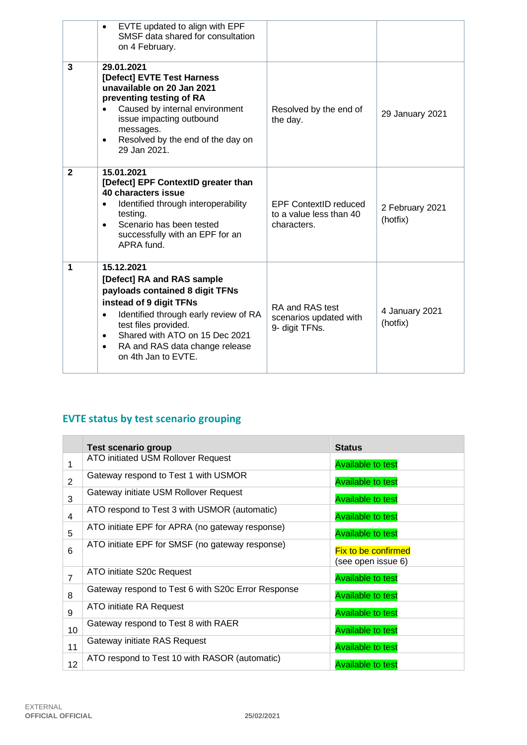|              | EVTE updated to align with EPF<br>SMSF data shared for consultation<br>on 4 February.                                                                                                                                                                                                                     |                                                                        |                             |
|--------------|-----------------------------------------------------------------------------------------------------------------------------------------------------------------------------------------------------------------------------------------------------------------------------------------------------------|------------------------------------------------------------------------|-----------------------------|
| 3            | 29.01.2021<br>[Defect] EVTE Test Harness<br>unavailable on 20 Jan 2021<br>preventing testing of RA<br>Caused by internal environment<br>issue impacting outbound<br>messages.<br>Resolved by the end of the day on<br>$\bullet$<br>29 Jan 2021.                                                           | Resolved by the end of<br>the day.                                     | 29 January 2021             |
| $\mathbf{2}$ | 15.01.2021<br>[Defect] EPF ContextID greater than<br>40 characters issue<br>Identified through interoperability<br>testing.<br>Scenario has been tested<br>$\bullet$<br>successfully with an EPF for an<br>APRA fund.                                                                                     | <b>EPF ContextID reduced</b><br>to a value less than 40<br>characters. | 2 February 2021<br>(hotfix) |
| 1            | 15.12.2021<br>[Defect] RA and RAS sample<br>payloads contained 8 digit TFNs<br>instead of 9 digit TFNs<br>Identified through early review of RA<br>$\bullet$<br>test files provided.<br>Shared with ATO on 15 Dec 2021<br>$\bullet$<br>RA and RAS data change release<br>$\bullet$<br>on 4th Jan to EVTE. | RA and RAS test<br>scenarios updated with<br>9- digit TFNs.            | 4 January 2021<br>(hotfix)  |

# **EVTE status by test scenario grouping**

|                | Test scenario group                                | <b>Status</b>                                    |
|----------------|----------------------------------------------------|--------------------------------------------------|
| 1              | ATO initiated USM Rollover Request                 | <b>Available to test</b>                         |
| $\overline{2}$ | Gateway respond to Test 1 with USMOR               | <b>Available to test</b>                         |
| 3              | Gateway initiate USM Rollover Request              | <b>Available to test</b>                         |
| $\overline{4}$ | ATO respond to Test 3 with USMOR (automatic)       | <b>Available to test</b>                         |
| 5              | ATO initiate EPF for APRA (no gateway response)    | <b>Available to test</b>                         |
| 6              | ATO initiate EPF for SMSF (no gateway response)    | <b>Fix to be confirmed</b><br>(see open issue 6) |
| $\overline{7}$ | ATO initiate S20c Request                          | <b>Available to test</b>                         |
| 8              | Gateway respond to Test 6 with S20c Error Response | <b>Available to test</b>                         |
| 9              | ATO initiate RA Request                            | <b>Available to test</b>                         |
| 10             | Gateway respond to Test 8 with RAER                | <b>Available to test</b>                         |
| 11             | Gateway initiate RAS Request                       | <b>Available to test</b>                         |
| 12             | ATO respond to Test 10 with RASOR (automatic)      | <b>Available to test</b>                         |